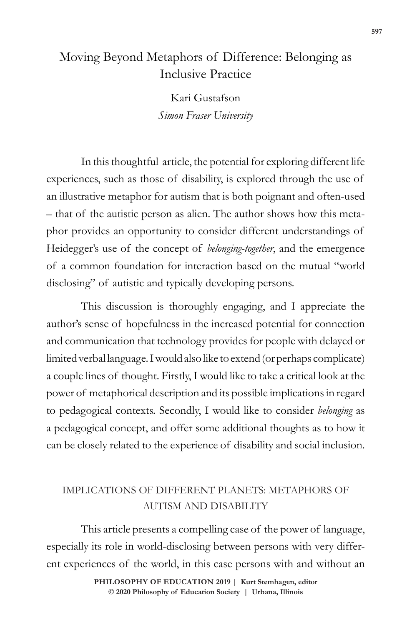# Moving Beyond Metaphors of Difference: Belonging as Inclusive Practice

Kari Gustafson *Simon Fraser University*

In this thoughtful article, the potential for exploring different life experiences, such as those of disability, is explored through the use of an illustrative metaphor for autism that is both poignant and often-used – that of the autistic person as alien. The author shows how this metaphor provides an opportunity to consider different understandings of Heidegger's use of the concept of *belonging-together*, and the emergence of a common foundation for interaction based on the mutual "world disclosing" of autistic and typically developing persons.

This discussion is thoroughly engaging, and I appreciate the author's sense of hopefulness in the increased potential for connection and communication that technology provides for people with delayed or limited verbal language. I would also like to extend (or perhaps complicate) a couple lines of thought. Firstly, I would like to take a critical look at the power of metaphorical description and its possible implications in regard to pedagogical contexts. Secondly, I would like to consider *belonging* as a pedagogical concept, and offer some additional thoughts as to how it can be closely related to the experience of disability and social inclusion.

## IMPLICATIONS OF DIFFERENT PLANETS: METAPHORS OF AUTISM AND DISABILITY

This article presents a compelling case of the power of language, especially its role in world-disclosing between persons with very different experiences of the world, in this case persons with and without an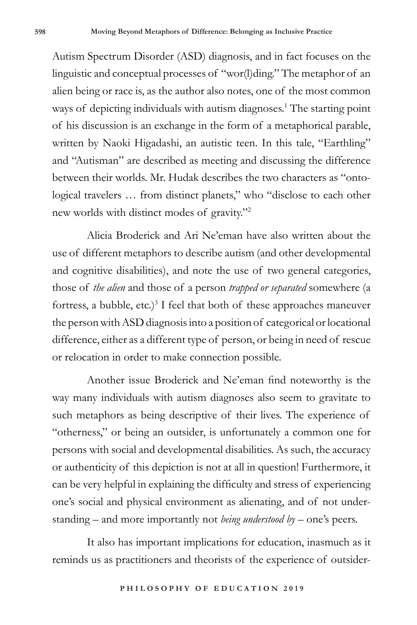Autism Spectrum Disorder (ASD) diagnosis, and in fact focuses on the linguistic and conceptual processes of "wor(l)ding." The metaphor of an alien being or race is, as the author also notes, one of the most common ways of depicting individuals with autism diagnoses.<sup>1</sup> The starting point of his discussion is an exchange in the form of a metaphorical parable, written by Naoki Higadashi, an autistic teen. In this tale, "Earthling" and "Autisman" are described as meeting and discussing the difference between their worlds. Mr. Hudak describes the two characters as "ontological travelers … from distinct planets," who "disclose to each other new worlds with distinct modes of gravity."2

Alicia Broderick and Ari Ne'eman have also written about the use of different metaphors to describe autism (and other developmental and cognitive disabilities), and note the use of two general categories, those of *the alien* and those of a person *trapped or separated* somewhere (a fortress, a bubble, etc.)<sup>3</sup> I feel that both of these approaches maneuver the person with ASD diagnosis into a position of categorical or locational difference, either as a different type of person, or being in need of rescue or relocation in order to make connection possible.

Another issue Broderick and Ne'eman find noteworthy is the way many individuals with autism diagnoses also seem to gravitate to such metaphors as being descriptive of their lives. The experience of "otherness," or being an outsider, is unfortunately a common one for persons with social and developmental disabilities. As such, the accuracy or authenticity of this depiction is not at all in question! Furthermore, it can be very helpful in explaining the difficulty and stress of experiencing one's social and physical environment as alienating, and of not understanding – and more importantly not *being understood by* – one's peers.

It also has important implications for education, inasmuch as it reminds us as practitioners and theorists of the experience of outsider-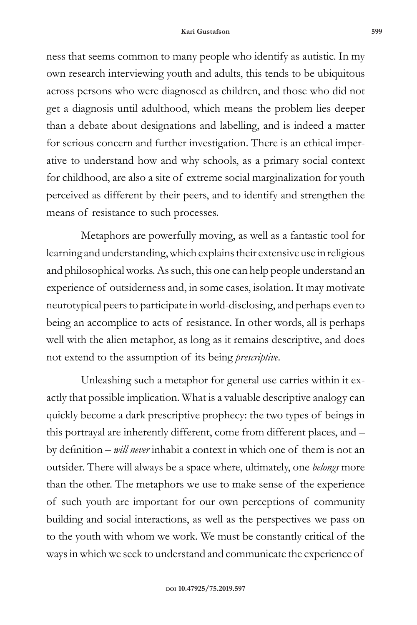#### **Kari Gustafson 599**

ness that seems common to many people who identify as autistic. In my own research interviewing youth and adults, this tends to be ubiquitous across persons who were diagnosed as children, and those who did not get a diagnosis until adulthood, which means the problem lies deeper than a debate about designations and labelling, and is indeed a matter for serious concern and further investigation. There is an ethical imperative to understand how and why schools, as a primary social context for childhood, are also a site of extreme social marginalization for youth perceived as different by their peers, and to identify and strengthen the means of resistance to such processes.

Metaphors are powerfully moving, as well as a fantastic tool for learning and understanding, which explains their extensive use in religious and philosophical works. As such, this one can help people understand an experience of outsiderness and, in some cases, isolation. It may motivate neurotypical peers to participate in world-disclosing, and perhaps even to being an accomplice to acts of resistance. In other words, all is perhaps well with the alien metaphor, as long as it remains descriptive, and does not extend to the assumption of its being *prescriptive*.

Unleashing such a metaphor for general use carries within it exactly that possible implication. What is a valuable descriptive analogy can quickly become a dark prescriptive prophecy: the two types of beings in this portrayal are inherently different, come from different places, and – by definition – *will never* inhabit a context in which one of them is not an outsider. There will always be a space where, ultimately, one *belongs* more than the other. The metaphors we use to make sense of the experience of such youth are important for our own perceptions of community building and social interactions, as well as the perspectives we pass on to the youth with whom we work. We must be constantly critical of the ways in which we seek to understand and communicate the experience of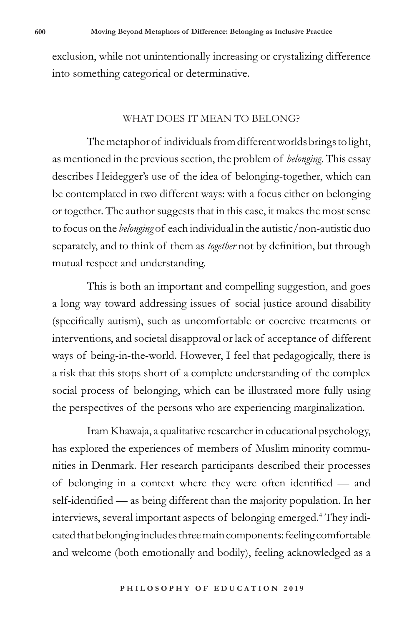exclusion, while not unintentionally increasing or crystalizing difference into something categorical or determinative.

## WHAT DOES IT MEAN TO BELONG?

The metaphor of individuals from different worlds brings to light, as mentioned in the previous section, the problem of *belonging*. This essay describes Heidegger's use of the idea of belonging-together, which can be contemplated in two different ways: with a focus either on belonging or together. The author suggests that in this case, it makes the most sense to focus on the *belonging* of each individual in the autistic/non-autistic duo separately, and to think of them as *together* not by definition, but through mutual respect and understanding.

This is both an important and compelling suggestion, and goes a long way toward addressing issues of social justice around disability (specifically autism), such as uncomfortable or coercive treatments or interventions, and societal disapproval or lack of acceptance of different ways of being-in-the-world. However, I feel that pedagogically, there is a risk that this stops short of a complete understanding of the complex social process of belonging, which can be illustrated more fully using the perspectives of the persons who are experiencing marginalization.

Iram Khawaja, a qualitative researcher in educational psychology, has explored the experiences of members of Muslim minority communities in Denmark. Her research participants described their processes of belonging in a context where they were often identified — and self-identified — as being different than the majority population. In her interviews, several important aspects of belonging emerged.4 They indicated that belonging includes three main components: feeling comfortable and welcome (both emotionally and bodily), feeling acknowledged as a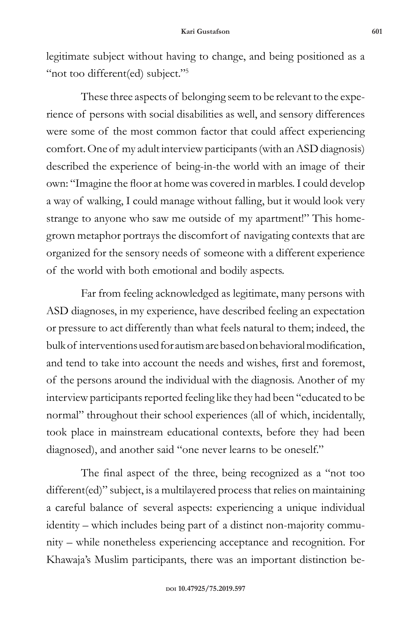legitimate subject without having to change, and being positioned as a "not too different(ed) subject."<sup>5</sup>

These three aspects of belonging seem to be relevant to the experience of persons with social disabilities as well, and sensory differences were some of the most common factor that could affect experiencing comfort. One of my adult interview participants (with an ASD diagnosis) described the experience of being-in-the world with an image of their own: "Imagine the floor at home was covered in marbles. I could develop a way of walking, I could manage without falling, but it would look very strange to anyone who saw me outside of my apartment!" This homegrown metaphor portrays the discomfort of navigating contexts that are organized for the sensory needs of someone with a different experience of the world with both emotional and bodily aspects.

Far from feeling acknowledged as legitimate, many persons with ASD diagnoses, in my experience, have described feeling an expectation or pressure to act differently than what feels natural to them; indeed, the bulk of interventions used for autism are based on behavioral modification, and tend to take into account the needs and wishes, first and foremost, of the persons around the individual with the diagnosis. Another of my interview participants reported feeling like they had been "educated to be normal" throughout their school experiences (all of which, incidentally, took place in mainstream educational contexts, before they had been diagnosed), and another said "one never learns to be oneself."

The final aspect of the three, being recognized as a "not too different(ed)" subject, is a multilayered process that relies on maintaining a careful balance of several aspects: experiencing a unique individual identity – which includes being part of a distinct non-majority community – while nonetheless experiencing acceptance and recognition. For Khawaja's Muslim participants, there was an important distinction be-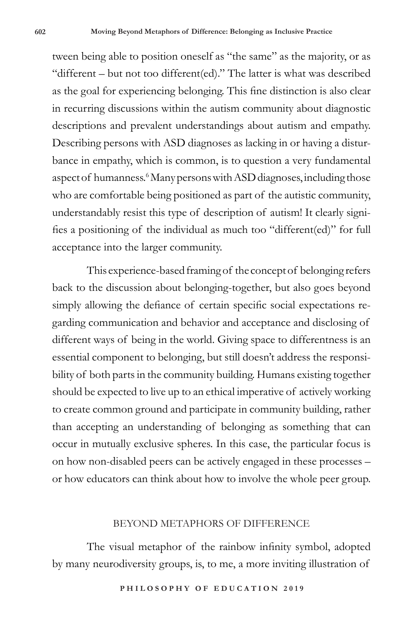tween being able to position oneself as "the same" as the majority, or as "different – but not too different(ed)." The latter is what was described as the goal for experiencing belonging. This fine distinction is also clear in recurring discussions within the autism community about diagnostic descriptions and prevalent understandings about autism and empathy. Describing persons with ASD diagnoses as lacking in or having a disturbance in empathy, which is common, is to question a very fundamental aspect of humanness.<sup>6</sup> Many persons with ASD diagnoses, including those who are comfortable being positioned as part of the autistic community, understandably resist this type of description of autism! It clearly signifies a positioning of the individual as much too "different(ed)" for full acceptance into the larger community.

This experience-based framing of the concept of belonging refers back to the discussion about belonging-together, but also goes beyond simply allowing the defiance of certain specific social expectations regarding communication and behavior and acceptance and disclosing of different ways of being in the world. Giving space to differentness is an essential component to belonging, but still doesn't address the responsibility of both parts in the community building. Humans existing together should be expected to live up to an ethical imperative of actively working to create common ground and participate in community building, rather than accepting an understanding of belonging as something that can occur in mutually exclusive spheres. In this case, the particular focus is on how non-disabled peers can be actively engaged in these processes – or how educators can think about how to involve the whole peer group.

## BEYOND METAPHORS OF DIFFERENCE

The visual metaphor of the rainbow infinity symbol, adopted by many neurodiversity groups, is, to me, a more inviting illustration of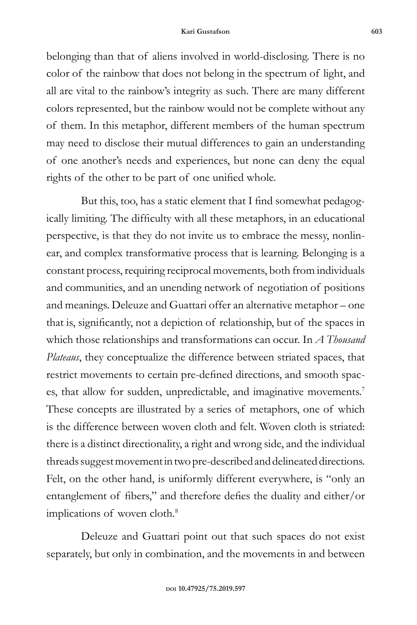belonging than that of aliens involved in world-disclosing. There is no color of the rainbow that does not belong in the spectrum of light, and all are vital to the rainbow's integrity as such. There are many different colors represented, but the rainbow would not be complete without any of them. In this metaphor, different members of the human spectrum may need to disclose their mutual differences to gain an understanding of one another's needs and experiences, but none can deny the equal rights of the other to be part of one unified whole.

But this, too, has a static element that I find somewhat pedagogically limiting. The difficulty with all these metaphors, in an educational perspective, is that they do not invite us to embrace the messy, nonlinear, and complex transformative process that is learning. Belonging is a constant process, requiring reciprocal movements, both from individuals and communities, and an unending network of negotiation of positions and meanings. Deleuze and Guattari offer an alternative metaphor – one that is, significantly, not a depiction of relationship, but of the spaces in which those relationships and transformations can occur. In *A Thousand Plateaus*, they conceptualize the difference between striated spaces, that restrict movements to certain pre-defined directions, and smooth spaces, that allow for sudden, unpredictable, and imaginative movements.<sup>7</sup> These concepts are illustrated by a series of metaphors, one of which is the difference between woven cloth and felt. Woven cloth is striated: there is a distinct directionality, a right and wrong side, and the individual threads suggest movement in two pre-described and delineated directions. Felt, on the other hand, is uniformly different everywhere, is "only an entanglement of fibers," and therefore defies the duality and either/or implications of woven cloth.<sup>8</sup>

Deleuze and Guattari point out that such spaces do not exist separately, but only in combination, and the movements in and between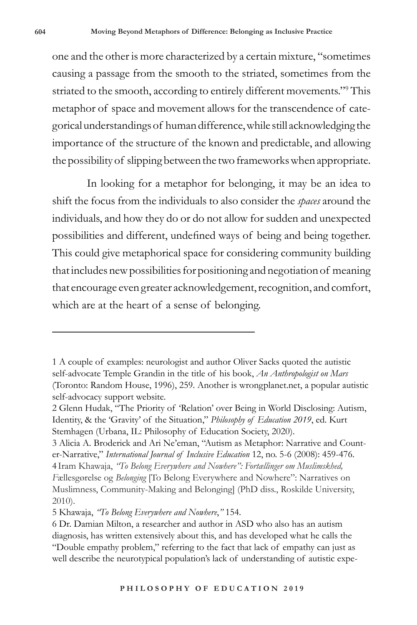one and the other is more characterized by a certain mixture, "sometimes causing a passage from the smooth to the striated, sometimes from the striated to the smooth, according to entirely different movements."9 This metaphor of space and movement allows for the transcendence of categorical understandings of human difference, while still acknowledging the importance of the structure of the known and predictable, and allowing the possibility of slipping between the two frameworks when appropriate.

In looking for a metaphor for belonging, it may be an idea to shift the focus from the individuals to also consider the *spaces* around the individuals, and how they do or do not allow for sudden and unexpected possibilities and different, undefined ways of being and being together. This could give metaphorical space for considering community building that includes new possibilities for positioning and negotiation of meaning that encourage even greater acknowledgement, recognition, and comfort, which are at the heart of a sense of belonging.

<sup>1</sup> A couple of examples: neurologist and author Oliver Sacks quoted the autistic self-advocate Temple Grandin in the title of his book, *An Anthropologist on Mars* (Toronto: Random House, 1996), 259. Another is wrongplanet.net, a popular autistic self-advocacy support website.

<sup>2</sup> Glenn Hudak, "The Priority of 'Relation' over Being in World Disclosing: Autism, Identity, & the 'Gravity' of the Situation," *Philosophy of Education 2019*, ed. Kurt Stemhagen (Urbana, IL: Philosophy of Education Society, 2020).

<sup>3</sup> Alicia A. Broderick and Ari Ne'eman, "Autism as Metaphor: Narrative and Counter-Narrative," *International Journal of Inclusive Education* 12, no. 5-6 (2008): 459-476. 4 Iram Khawaja, *"To Belong Everywhere and Nowhere": Fortællinger om Muslimskhed, F*ællesgørelse og *Belonging* [To Belong Everywhere and Nowhere": Narratives on Muslimness, Community-Making and Belonging] (PhD diss., Roskilde University, 2010).

<sup>5</sup> Khawaja, *"To Belong Everywhere and Nowhere*,*"* 154.

<sup>6</sup> Dr. Damian Milton, a researcher and author in ASD who also has an autism diagnosis, has written extensively about this, and has developed what he calls the "Double empathy problem," referring to the fact that lack of empathy can just as well describe the neurotypical population's lack of understanding of autistic expe-